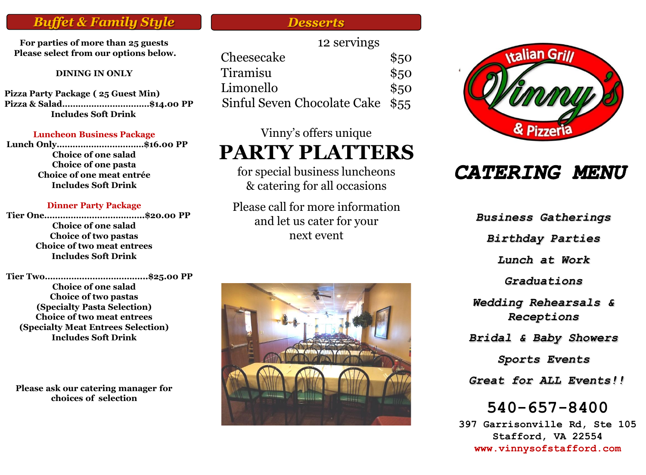## *Buffet & Family Style Desserts*

**For parties of more than 25 guests Please select from our options below.** 

#### **DINING IN ONLY**

**Pizza Party Package ( 25 Guest Min) Pizza & Salad……………………………\$14.00 PP Includes Soft Drink**

#### **Luncheon Business Package**

**Lunch Only……………………………\$16.00 PP Choice of one salad Choice of one pasta Choice of one meat entrée Includes Soft Drink**

#### **Dinner Party Package**

**Tier One………………………………..\$20.00 PP Choice of one salad Choice of two pastas Choice of two meat entrees Includes Soft Drink**

**Tier Two………………………………...\$25.00 PP Choice of one salad Choice of two pastas (Specialty Pasta Selection) Choice of two meat entrees (Specialty Meat Entrees Selection) Includes Soft Drink**

**Please ask our catering manager for choices of selection**

|                                  | 12 servings |      |
|----------------------------------|-------------|------|
| Cheesecake                       |             | \$50 |
| Tiramisu                         |             | \$50 |
| Limonello                        |             | \$50 |
| Sinful Seven Chocolate Cake \$55 |             |      |

#### Vinny's offers unique

# **PARTY PLATTERS**

for special business luncheons & catering for all occasions

Please call for more information and let us cater for your next event





# **CATERING MENU**

*Business Gatherings*

*Birthday Parties*

*Lunch at Work*

*Graduations*

*Wedding Rehearsals & Receptions*

*Bridal & Baby Showers*

*Sports Events*

*Great for ALL Events!!*

**540-657-8400**

**397 Garrisonville Rd, Ste 105 Stafford, VA 22554 www.vinnysofstafford.com**